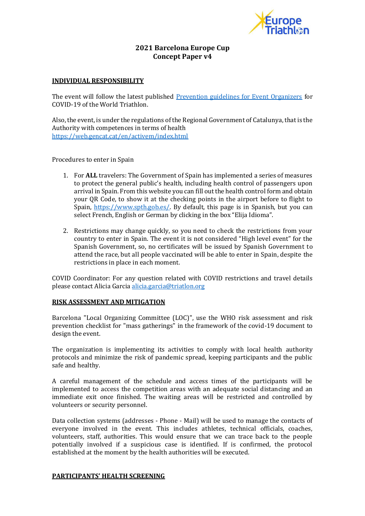

# **2021 Barcelona Europe Cup Concept Paper v4**

### **INDIVIDUAL RESPONSIBILITY**

The event will follow the latest published [Prevention guidelines for Event Organizers](https://www.triathlon.org/uploads/docs/20200101_Covid19_Guidelines_4.0.pdf) for COVID-19 of the World Triathlon.

Also, the event, is under the regulations of the Regional Government of Catalunya, that is the Authority with competences in terms of health <https://web.gencat.cat/en/activem/index.html>

Procedures to enter in Spain

- 1. For **ALL** travelers: The Government of Spain has implemented a series of measures to protect the general public's health, including health control of passengers upon arrival in Spain. From this website you can fill out the health control form and obtain your QR Code, to show it at the checking points in the airport before to flight to Spain, [https://www.spth.gob.es/.](https://www.spth.gob.es/) By default, this page is in Spanish, but you can select French, English or German by clicking in the box "Elija Idioma".
- 2. Restrictions may change quickly, so you need to check the restrictions from your country to enter in Spain. The event it is not considered "High level event" for the Spanish Government, so, no certificates will be issued by Spanish Government to attend the race, but all people vaccinated will be able to enter in Spain, despite the restrictions in place in each moment.

COVID Coordinator: For any question related with COVID restrictions and travel details please contact Alicia Garcia [alicia.garcia@triatlon.org](mailto:alicia.garcia@triatlon.org)

#### **RISK ASSESSMENT AND MITIGATION**

Barcelona "Local Organizing Committee (LOC)", use the WHO risk assessment and risk prevention checklist for "mass gatherings" in the framework of the covid-19 document to design the event.

The organization is implementing its activities to comply with local health authority protocols and minimize the risk of pandemic spread, keeping participants and the public safe and healthy.

A careful management of the schedule and access times of the participants will be implemented to access the competition areas with an adequate social distancing and an immediate exit once finished. The waiting areas will be restricted and controlled by volunteers or security personnel.

Data collection systems (addresses - Phone - Mail) will be used to manage the contacts of everyone involved in the event. This includes athletes, technical officials, coaches, volunteers, staff, authorities. This would ensure that we can trace back to the people potentially involved if a suspicious case is identified. If is confirmed, the protocol established at the moment by the health authorities will be executed.

#### **PARTICIPANTS' HEALTH SCREENING**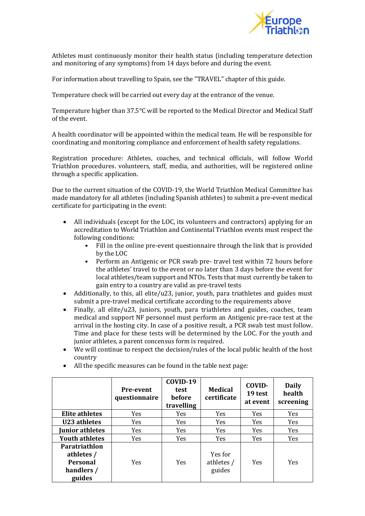

Athletes must continuously monitor their health status (including temperature detection and monitoring of any symptoms) from 14 days before and during the event.

For information about travelling to Spain, see the "TRAVEL" chapter of this guide.

Temperature check will be carried out every day at the entrance of the venue.

Temperature higher than 37.5°C will be reported to the Medical Director and Medical Staff of the event.

A health coordinator will be appointed within the medical team. He will be responsible for coordinating and monitoring compliance and enforcement of health safety regulations.

Registration procedure: Athletes, coaches, and technical officials, will follow World Triathlon procedures. volunteers, staff, media, and authorities, will be registered online through a specific application.

Due to the current situation of the COVID-19, the World Triathlon Medical Committee has made mandatory for all athletes (including Spanish athletes) to submit a pre-event medical certificate for participating in the event:

- All individuals (except for the LOC, its volunteers and contractors) applying for an accreditation to World Triathlon and Continental Triathlon events must respect the following conditions:
	- Fill in the online pre-event questionnaire through the link that is provided by the LOC
	- Perform an Antigenic or PCR swab pre- travel test within 72 hours before the athletes' travel to the event or no later than 3 days before the event for local athletes/team support and NTOs. Tests that must currently be taken to gain entry to a country are valid as pre-travel tests
- Additionally, to this, all elite/u23, junior, youth, para triathletes and guides must submit a pre-travel medical certificate according to the requirements above
- Finally, all elite/u23, juniors, youth, para triathletes and guides, coaches, team medical and support NF personnel must perform an Antigenic pre-race test at the arrival in the hosting city. In case of a positive result, a PCR swab test must follow. Time and place for these tests will be determined by the LOC. For the youth and junior athletes, a parent concensus form is required.
- We will continue to respect the decision/rules of the local public health of the host country

|                                                                               | <b>Pre-event</b><br>questionnaire | COVID-19<br>test<br><b>before</b><br>travelling | <b>Medical</b><br>certificate   | COVID-<br>19 test<br>at event | <b>Daily</b><br>health<br>screening |
|-------------------------------------------------------------------------------|-----------------------------------|-------------------------------------------------|---------------------------------|-------------------------------|-------------------------------------|
| Elite athletes                                                                | <b>Yes</b>                        | <b>Yes</b>                                      | <b>Yes</b>                      | <b>Yes</b>                    | Yes.                                |
| U23 athletes                                                                  | Yes                               | <b>Yes</b>                                      | <b>Yes</b>                      | <b>Yes</b>                    | Yes.                                |
| Junior athletes                                                               | Yes                               | Yes                                             | Yes                             | Yes                           | <b>Yes</b>                          |
| <b>Youth athletes</b>                                                         | <b>Yes</b>                        | <b>Yes</b>                                      | Yes                             | Yes                           | <b>Yes</b>                          |
| <b>Paratriathlon</b><br>athletes /<br><b>Personal</b><br>handlers /<br>guides | <b>Yes</b>                        | <b>Yes</b>                                      | Yes for<br>athletes /<br>guides | Yes                           | <b>Yes</b>                          |

• All the specific measures can be found in the table next page: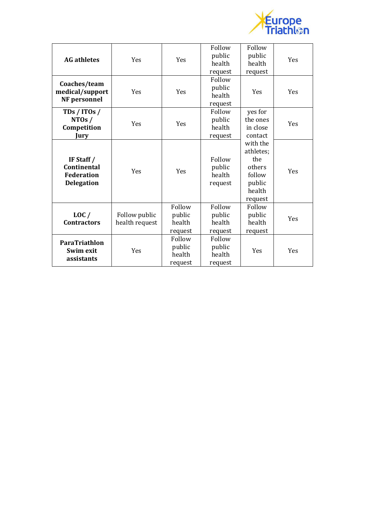

| <b>AG</b> athletes                                                           | Yes                             | Yes                                   | Follow<br>public<br>health<br>request | Follow<br>public<br>health<br>request                                           | Yes |
|------------------------------------------------------------------------------|---------------------------------|---------------------------------------|---------------------------------------|---------------------------------------------------------------------------------|-----|
| Coaches/team<br>medical/support<br>NF personnel                              | Yes                             | Yes                                   | Follow<br>public<br>health<br>request | Yes                                                                             | Yes |
| TDs / ITOs /<br>NTOS /<br>Competition<br>Jury                                | Yes                             | Yes                                   | Follow<br>public<br>health<br>request | yes for<br>the ones<br>in close<br>contact                                      | Yes |
| IF Staff $/$<br><b>Continental</b><br><b>Federation</b><br><b>Delegation</b> | Yes                             | Yes                                   | Follow<br>public<br>health<br>request | with the<br>athletes;<br>the<br>others<br>follow<br>public<br>health<br>request | Yes |
| LOC/<br><b>Contractors</b>                                                   | Follow public<br>health request | Follow<br>public<br>health<br>request | Follow<br>public<br>health<br>request | Follow<br>public<br>health<br>request                                           | Yes |
| ParaTriathlon<br>Swim exit<br>assistants                                     | Yes                             | Follow<br>public<br>health<br>request | Follow<br>public<br>health<br>request | Yes                                                                             | Yes |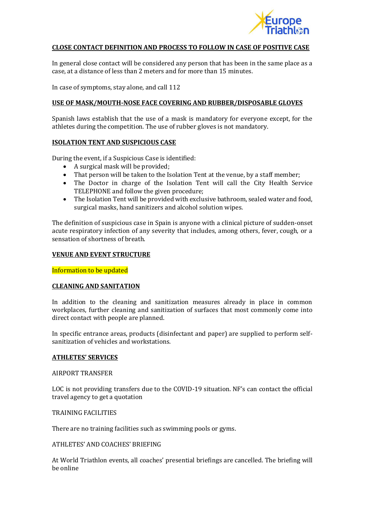

### **CLOSE CONTACT DEFINITION AND PROCESS TO FOLLOW IN CASE OF POSITIVE CASE**

In general close contact will be considered any person that has been in the same place as a case, at a distance of less than 2 meters and for more than 15 minutes.

In case of symptoms, stay alone, and call 112

#### **USE OF MASK/MOUTH-NOSE FACE COVERING AND RUBBER/DISPOSABLE GLOVES**

Spanish laws establish that the use of a mask is mandatory for everyone except, for the athletes during the competition. The use of rubber gloves is not mandatory.

#### **ISOLATION TENT AND SUSPICIOUS CASE**

During the event, if a Suspicious Case is identified:

- A surgical mask will be provided;
- That person will be taken to the Isolation Tent at the venue, by a staff member;
- The Doctor in charge of the Isolation Tent will call the City Health Service TELEPHONE and follow the given procedure;
- The Isolation Tent will be provided with exclusive bathroom, sealed water and food, surgical masks, hand sanitizers and alcohol solution wipes.

The definition of suspicious case in Spain is anyone with a clinical picture of sudden-onset acute respiratory infection of any severity that includes, among others, fever, cough, or a sensation of shortness of breath.

#### **VENUE AND EVENT STRUCTURE**

Information to be updated

#### **CLEANING AND SANITATION**

In addition to the cleaning and sanitization measures already in place in common workplaces, further cleaning and sanitization of surfaces that most commonly come into direct contact with people are planned.

In specific entrance areas, products (disinfectant and paper) are supplied to perform selfsanitization of vehicles and workstations.

#### **ATHLETES' SERVICES**

#### AIRPORT TRANSFER

LOC is not providing transfers due to the COVID-19 situation. NF's can contact the official travel agency to get a quotation

### TRAINING FACILITIES

There are no training facilities such as swimming pools or gyms.

### ATHLETES' AND COACHES' BRIEFING

At World Triathlon events, all coaches' presential briefings are cancelled. The briefing will be online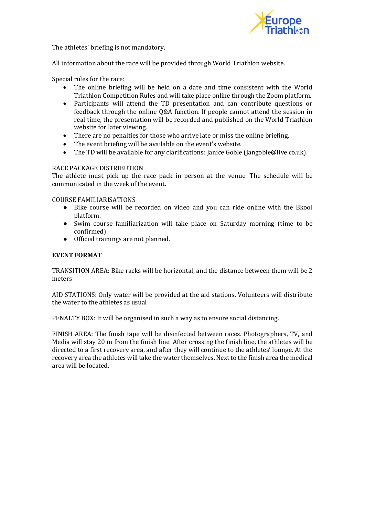

The athletes' briefing is not mandatory.

All information about the race will be provided through World Triathlon website.

Special rules for the race:

- The online briefing will be held on a date and time consistent with the World Triathlon Competition Rules and will take place online through the Zoom platform.
- Participants will attend the TD presentation and can contribute questions or feedback through the online Q&A function. If people cannot attend the session in real time, the presentation will be recorded and published on the World Triathlon website for later viewing.
- There are no penalties for those who arrive late or miss the online briefing.
- The event briefing will be available on the event's website.
- The TD will be available for any clarifications: Janice Goble (jangoble@live.co.uk).

### RACE PACKAGE DISTRIBUTION

The athlete must pick up the race pack in person at the venue. The schedule will be communicated in the week of the event.

COURSE FAMILIARISATIONS

- Bike course will be recorded on video and you can ride online with the Bkool platform.
- Swim course familiarization will take place on Saturday morning (time to be confirmed)
- Official trainings are not planned.

#### **EVENT FORMAT**

TRANSITION AREA: Bike racks will be horizontal, and the distance between them will be 2 meters

AID STATIONS: Only water will be provided at the aid stations. Volunteers will distribute the water to the athletes as usual

PENALTY BOX: It will be organised in such a way as to ensure social distancing.

FINISH AREA: The finish tape will be disinfected between races. Photographers, TV, and Media will stay 20 m from the finish line. After crossing the finish line, the athletes will be directed to a first recovery area, and after they will continue to the athletes' lounge. At the recovery area the athletes will take the water themselves. Next to the finish area the medical area will be located.